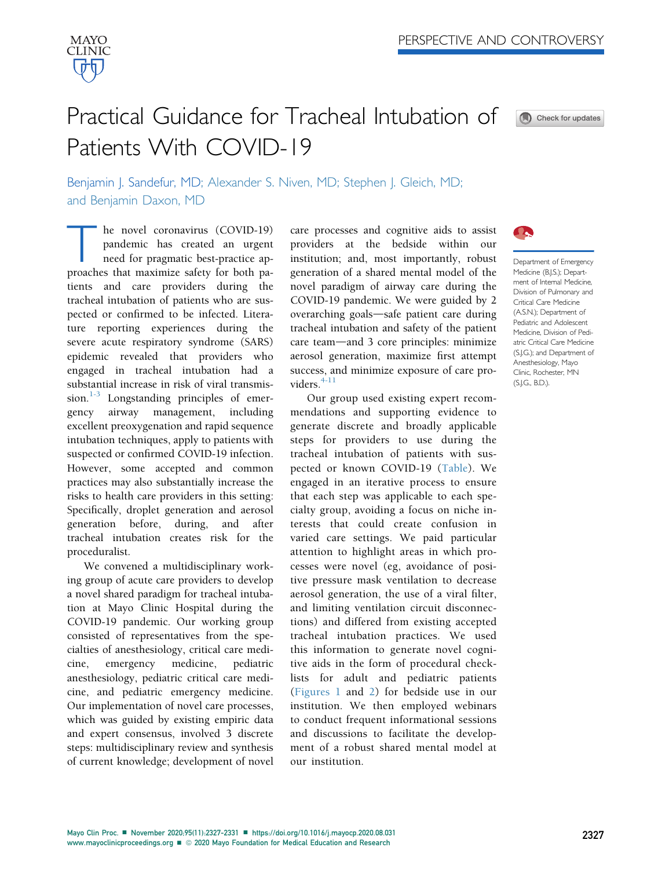

# Practical Guidance for Tracheal Intubation of Patients With COVID-19



Benjamin J. Sandefur, MD; Alexander S. Niven, MD; Stephen J. Gleich, MD; and Benjamin Daxon, MD

he novel coronavirus (COVID-19) pandemic has created an urgent need for pragmatic best-practice approaches that maximize safety for both patients and care providers during the tracheal intubation of patients who are suspected or confirmed to be infected. Literature reporting experiences during the severe acute respiratory syndrome (SARS) epidemic revealed that providers who engaged in tracheal intubation had a substantial increase in risk of viral transmis-sion.<sup>[1-3](#page-4-0)</sup> Longstanding principles of emergency airway management, including excellent preoxygenation and rapid sequence intubation techniques, apply to patients with suspected or confirmed COVID-19 infection. However, some accepted and common practices may also substantially increase the risks to health care providers in this setting: Specifically, droplet generation and aerosol generation before, during, and after tracheal intubation creates risk for the proceduralist.

We convened a multidisciplinary working group of acute care providers to develop a novel shared paradigm for tracheal intubation at Mayo Clinic Hospital during the COVID-19 pandemic. Our working group consisted of representatives from the specialties of anesthesiology, critical care medicine, emergency medicine, pediatric anesthesiology, pediatric critical care medicine, and pediatric emergency medicine. Our implementation of novel care processes, which was guided by existing empiric data and expert consensus, involved 3 discrete steps: multidisciplinary review and synthesis of current knowledge; development of novel

care processes and cognitive aids to assist providers at the bedside within our institution; and, most importantly, robust generation of a shared mental model of the novel paradigm of airway care during the COVID-19 pandemic. We were guided by 2 overarching goals—safe patient care during tracheal intubation and safety of the patient  $care$  team—and 3 core principles: minimize aerosol generation, maximize first attempt success, and minimize exposure of care providers. $4-11$ 

Our group used existing expert recommendations and supporting evidence to generate discrete and broadly applicable steps for providers to use during the tracheal intubation of patients with suspected or known COVID-19 ([Table\)](#page-1-0). We engaged in an iterative process to ensure that each step was applicable to each specialty group, avoiding a focus on niche interests that could create confusion in varied care settings. We paid particular attention to highlight areas in which processes were novel (eg, avoidance of positive pressure mask ventilation to decrease aerosol generation, the use of a viral filter, and limiting ventilation circuit disconnections) and differed from existing accepted tracheal intubation practices. We used this information to generate novel cognitive aids in the form of procedural checklists for adult and pediatric patients [\(Figures 1](#page-2-0) and [2\)](#page-3-0) for bedside use in our institution. We then employed webinars to conduct frequent informational sessions and discussions to facilitate the development of a robust shared mental model at our institution.



Department of Emergency Medicine (B.J.S.); Department of Internal Medicine, Division of Pulmonary and Critical Care Medicine (A.S.N.); Department of Pediatric and Adolescent Medicine, Division of Pediatric Critical Care Medicine (S.J.G.); and Department of Anesthesiology, Mayo Clinic, Rochester, MN (S.J.G., B.D.).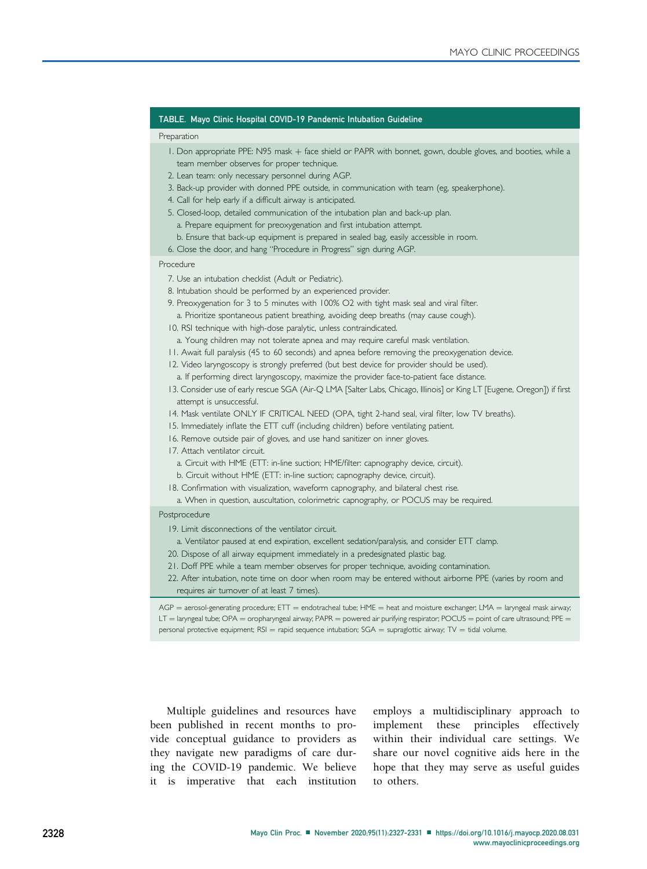# <span id="page-1-0"></span>TABLE. Mayo Clinic Hospital COVID-19 Pandemic Intubation Guideline

#### Preparation

- 1. Don appropriate PPE: N95 mask + face shield or PAPR with bonnet, gown, double gloves, and booties, while a team member observes for proper technique.
- 2. Lean team: only necessary personnel during AGP.
- 3. Back-up provider with donned PPE outside, in communication with team (eg, speakerphone).
- 4. Call for help early if a difficult airway is anticipated.
- 5. Closed-loop, detailed communication of the intubation plan and back-up plan.
	- a. Prepare equipment for preoxygenation and first intubation attempt.
	- b. Ensure that back-up equipment is prepared in sealed bag, easily accessible in room.
- 6. Close the door, and hang "Procedure in Progress" sign during AGP.

### Procedure

- 7. Use an intubation checklist (Adult or Pediatric).
- 8. Intubation should be performed by an experienced provider.
- 9. Preoxygenation for 3 to 5 minutes with 100% O2 with tight mask seal and viral filter. a. Prioritize spontaneous patient breathing, avoiding deep breaths (may cause cough).
- 10. RSI technique with high-dose paralytic, unless contraindicated.
- a. Young children may not tolerate apnea and may require careful mask ventilation.
- 11. Await full paralysis (45 to 60 seconds) and apnea before removing the preoxygenation device.
- 12. Video laryngoscopy is strongly preferred (but best device for provider should be used). a. If performing direct laryngoscopy, maximize the provider face-to-patient face distance.
- 13. Consider use of early rescue SGA (Air-Q LMA [Salter Labs, Chicago, Illinois] or King LT [Eugene, Oregon]) if first attempt is unsuccessful.
- 14. Mask ventilate ONLY IF CRITICAL NEED (OPA, tight 2-hand seal, viral filter, low TV breaths).
- 15. Immediately inflate the ETT cuff (including children) before ventilating patient.
- 16. Remove outside pair of gloves, and use hand sanitizer on inner gloves.
- 17. Attach ventilator circuit.
	- a. Circuit with HME (ETT: in-line suction; HME/filter: capnography device, circuit).
	- b. Circuit without HME (ETT: in-line suction; capnography device, circuit).
- 18. Confirmation with visualization, waveform capnography, and bilateral chest rise.
	- a. When in question, auscultation, colorimetric capnography, or POCUS may be required.

#### Postprocedure

- 19. Limit disconnections of the ventilator circuit.
- a. Ventilator paused at end expiration, excellent sedation/paralysis, and consider ETT clamp.
- 20. Dispose of all airway equipment immediately in a predesignated plastic bag.
- 21. Doff PPE while a team member observes for proper technique, avoiding contamination.
- 22. After intubation, note time on door when room may be entered without airborne PPE (varies by room and requires air turnover of at least 7 times).

 $AGP =$  aerosol-generating procedure;  $ETT =$  endotracheal tube;  $HME =$  heat and moisture exchanger;  $LMA =$  laryngeal mask airway;  $LT =$  laryngeal tube; OPA = oropharyngeal airway; PAPR = powered air purifying respirator; POCUS = point of care ultrasound; PPE = personal protective equipment;  $RSI =$  rapid sequence intubation;  $SGA =$  supraglottic airway;  $TV =$  tidal volume.

Multiple guidelines and resources have been published in recent months to provide conceptual guidance to providers as they navigate new paradigms of care during the COVID-19 pandemic. We believe it is imperative that each institution

employs a multidisciplinary approach to implement these principles effectively within their individual care settings. We share our novel cognitive aids here in the hope that they may serve as useful guides to others.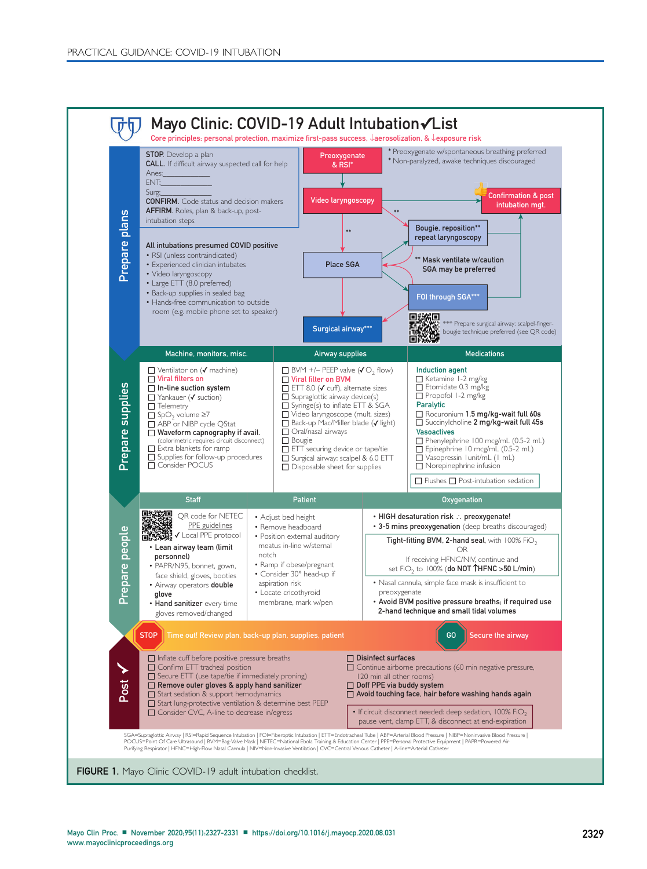<span id="page-2-0"></span>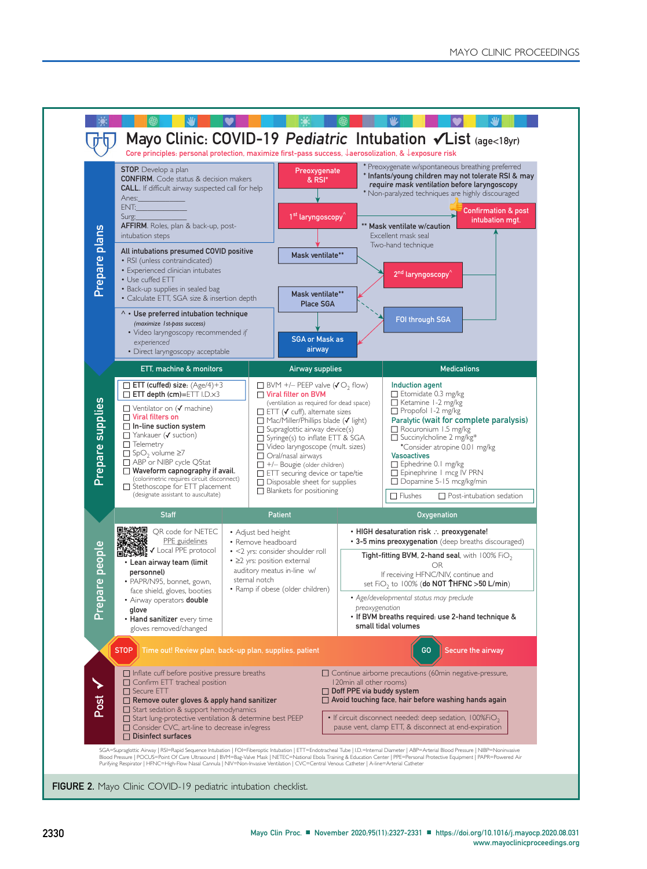<span id="page-3-0"></span>